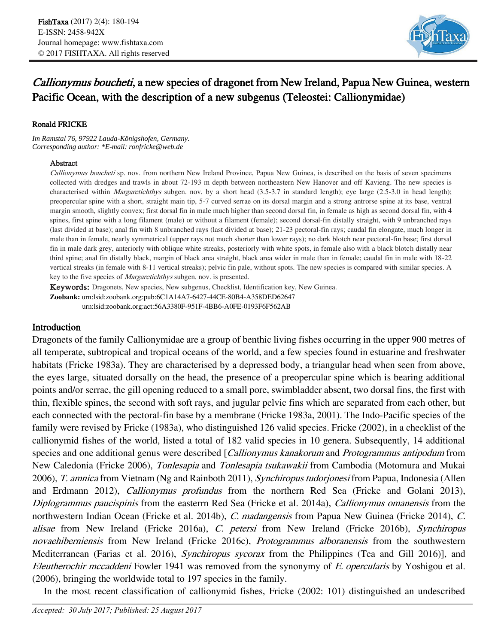

# Callionymus boucheti, a new species of dragonet from New Ireland, Papua New Guinea, western Pacific Ocean, with the description of a new subgenus (Teleostei: Callionymidae)

#### Ronald FRICKE

*Im Ramstal 76, 97922 Lauda-Königshofen, Germany. Corresponding author: \*E-mail: ronfricke@web.de*

#### Abstract

Callionymus boucheti sp. nov. from northern New Ireland Province, Papua New Guinea, is described on the basis of seven specimens collected with dredges and trawls in about 72-193 m depth between northeastern New Hanover and off Kavieng. The new species is characterised within *Margaretichthys* subgen. nov. by a short head (3.5-3.7 in standard length); eye large (2.5-3.0 in head length); preopercular spine with a short, straight main tip, 5-7 curved serrae on its dorsal margin and a strong antrorse spine at its base, ventral margin smooth, slightly convex; first dorsal fin in male much higher than second dorsal fin, in female as high as second dorsal fin, with 4 spines, first spine with a long filament (male) or without a filament (female); second dorsal-fin distally straight, with 9 unbranched rays (last divided at base); anal fin with 8 unbranched rays (last divided at base); 21-23 pectoral-fin rays; caudal fin elongate, much longer in male than in female, nearly symmetrical (upper rays not much shorter than lower rays); no dark blotch near pectoral-fin base; first dorsal fin in male dark grey, anteriorly with oblique white streaks, posteriorly with white spots, in female also with a black blotch distally near third spine; anal fin distally black, margin of black area straight, black area wider in male than in female; caudal fin in male with 18-22 vertical streaks (in female with 8-11 vertical streaks); pelvic fin pale, without spots. The new species is compared with similar species. A key to the five species of *Margaretichthys* subgen. nov. is presented.

Keywords: Dragonets, New species, New subgenus, Checklist, Identification key, New Guinea.

**Zoobank:** urn:lsid:zoobank.org:pub:6C1A14A7-6427-44CE-80B4-A358DED62647 urn:lsid:zoobank.org:act:56A3380F-951F-4BB6-A0FE-0193F6F562AB

### Introduction

Dragonets of the family Callionymidae are a group of benthic living fishes occurring in the upper 900 metres of all temperate, subtropical and tropical oceans of the world, and a few species found in estuarine and freshwater habitats (Fricke 1983a). They are characterised by a depressed body, a triangular head when seen from above, the eyes large, situated dorsally on the head, the presence of a preopercular spine which is bearing additional points and/or serrae, the gill opening reduced to a small pore, swimbladder absent, two dorsal fins, the first with thin, flexible spines, the second with soft rays, and jugular pelvic fins which are separated from each other, but each connected with the pectoral-fin base by a membrane (Fricke 1983a, 2001). The Indo-Pacific species of the family were revised by Fricke (1983a), who distinguished 126 valid species. Fricke (2002), in a checklist of the callionymid fishes of the world, listed a total of 182 valid species in 10 genera. Subsequently, 14 additional species and one additional genus were described [*Callionymus kanakorum* and *Protogrammus antipodum* from New Caledonia (Fricke 2006), *Tonlesapia* and *Tonlesapia tsukawakii* from Cambodia (Motomura and Mukai 2006), T. amnica from Vietnam (Ng and Rainboth 2011), Synchiropus tudorjonesi from Papua, Indonesia (Allen and Erdmann 2012), Callionymus profundus from the northern Red Sea (Fricke and Golani 2013), Diplogrammus paucispinis from the easterrn Red Sea (Fricke et al. 2014a), Callionymus omanensis from the northwestern Indian Ocean (Fricke et al. 2014b), C. madangensis from Papua New Guinea (Fricke 2014), C. alisae from New Ireland (Fricke 2016a), C. petersi from New Ireland (Fricke 2016b), Synchiropus novaehiberniensis from New Ireland (Fricke 2016c), *Protogrammus alboranensis* from the southwestern Mediterranean (Farias et al. 2016), Synchiropus sycorax from the Philippines (Tea and Gill 2016)], and Eleutherochir mccaddeni Fowler 1941 was removed from the synonymy of E. opercularis by Yoshigou et al. (2006), bringing the worldwide total to 197 species in the family.

In the most recent classification of callionymid fishes, Fricke (2002: 101) distinguished an undescribed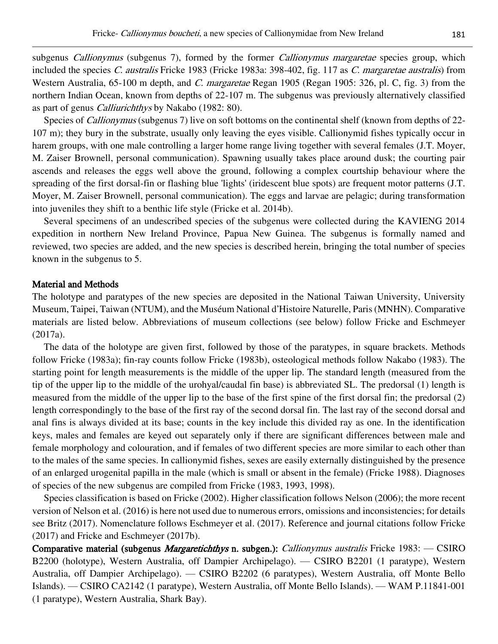subgenus Callionymus (subgenus 7), formed by the former Callionymus margaretae species group, which included the species C. australis Fricke 1983 (Fricke 1983a: 398-402, fig. 117 as C. margaretae australis) from Western Australia, 65-100 m depth, and *C. margaretae* Regan 1905 (Regan 1905: 326, pl. C, fig. 3) from the northern Indian Ocean, known from depths of 22-107 m. The subgenus was previously alternatively classified as part of genus Calliurichthys by Nakabo (1982: 80).

Species of *Callionymus* (subgenus 7) live on soft bottoms on the continental shelf (known from depths of 22-107 m); they bury in the substrate, usually only leaving the eyes visible. Callionymid fishes typically occur in harem groups, with one male controlling a larger home range living together with several females (J.T. Moyer, M. Zaiser Brownell, personal communication). Spawning usually takes place around dusk; the courting pair ascends and releases the eggs well above the ground, following a complex courtship behaviour where the spreading of the first dorsal-fin or flashing blue 'lights' (iridescent blue spots) are frequent motor patterns (J.T. Moyer, M. Zaiser Brownell, personal communication). The eggs and larvae are pelagic; during transformation into juveniles they shift to a benthic life style (Fricke et al. 2014b).

Several specimens of an undescribed species of the subgenus were collected during the KAVIENG 2014 expedition in northern New Ireland Province, Papua New Guinea. The subgenus is formally named and reviewed, two species are added, and the new species is described herein, bringing the total number of species known in the subgenus to 5.

#### Material and Methods

The holotype and paratypes of the new species are deposited in the National Taiwan University, University Museum, Taipei, Taiwan (NTUM), and the Muséum National d'Histoire Naturelle, Paris (MNHN). Comparative materials are listed below. Abbreviations of museum collections (see below) follow Fricke and Eschmeyer (2017a).

The data of the holotype are given first, followed by those of the paratypes, in square brackets. Methods follow Fricke (1983a); fin-ray counts follow Fricke (1983b), osteological methods follow Nakabo (1983). The starting point for length measurements is the middle of the upper lip. The standard length (measured from the tip of the upper lip to the middle of the urohyal/caudal fin base) is abbreviated SL. The predorsal (1) length is measured from the middle of the upper lip to the base of the first spine of the first dorsal fin; the predorsal (2) length correspondingly to the base of the first ray of the second dorsal fin. The last ray of the second dorsal and anal fins is always divided at its base; counts in the key include this divided ray as one. In the identification keys, males and females are keyed out separately only if there are significant differences between male and female morphology and colouration, and if females of two different species are more similar to each other than to the males of the same species. In callionymid fishes, sexes are easily externally distinguished by the presence of an enlarged urogenital papilla in the male (which is small or absent in the female) (Fricke 1988). Diagnoses of species of the new subgenus are compiled from Fricke (1983, 1993, 1998).

Species classification is based on Fricke (2002). Higher classification follows Nelson (2006); the more recent version of Nelson et al. (2016) is here not used due to numerous errors, omissions and inconsistencies; for details see Britz (2017). Nomenclature follows Eschmeyer et al. (2017). Reference and journal citations follow Fricke (2017) and Fricke and Eschmeyer (2017b).

Comparative material (subgenus *Margaretichthys* n. subgen.): *Callionymus australis* Fricke 1983: — CSIRO B2200 (holotype), Western Australia, off Dampier Archipelago). — CSIRO B2201 (1 paratype), Western Australia, off Dampier Archipelago). — CSIRO B2202 (6 paratypes), Western Australia, off Monte Bello Islands). — CSIRO CA2142 (1 paratype), Western Australia, off Monte Bello Islands). — WAM P.11841-001 (1 paratype), Western Australia, Shark Bay).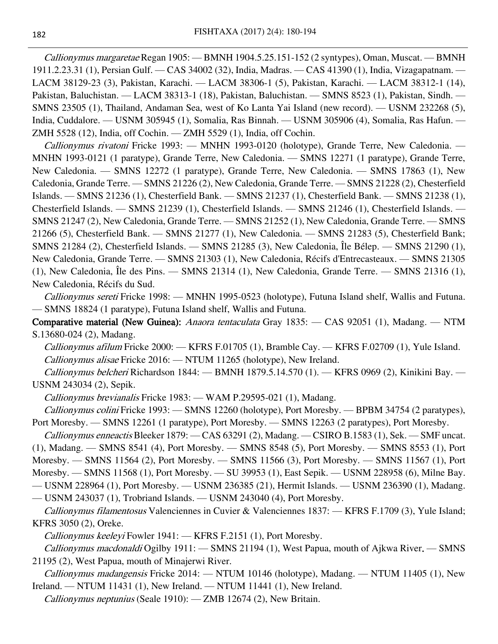Callionymus margaretae Regan 1905: - BMNH 1904.5.25.151-152 (2 syntypes), Oman, Muscat. - BMNH 1911.2.23.31 (1), Persian Gulf. — CAS 34002 (32), India, Madras. — CAS 41390 (1), India, Vizagapatnam. — LACM 38129-23 (3), Pakistan, Karachi. — LACM 38306-1 (5), Pakistan, Karachi. — LACM 38312-1 (14), Pakistan, Baluchistan. — LACM 38313-1 (18), Pakistan, Baluchistan. — SMNS 8523 (1), Pakistan, Sindh. — SMNS 23505 (1), Thailand, Andaman Sea, west of Ko Lanta Yai Island (new record). — USNM 232268 (5), India, Cuddalore. — USNM 305945 (1), Somalia, Ras Binnah. — USNM 305906 (4), Somalia, Ras Hafun. — ZMH 5528 (12), India, off Cochin. — ZMH 5529 (1), India, off Cochin.

Callionymus rivatoni Fricke 1993: — MNHN 1993-0120 (holotype), Grande Terre, New Caledonia. — MNHN 1993-0121 (1 paratype), Grande Terre, New Caledonia. — SMNS 12271 (1 paratype), Grande Terre, New Caledonia. — SMNS 12272 (1 paratype), Grande Terre, New Caledonia. — SMNS 17863 (1), New Caledonia, Grande Terre. — SMNS 21226 (2), New Caledonia, Grande Terre. — SMNS 21228 (2), Chesterfield Islands. — SMNS 21236 (1), Chesterfield Bank. — SMNS 21237 (1), Chesterfield Bank. — SMNS 21238 (1), Chesterfield Islands. — SMNS 21239 (1), Chesterfield Islands. — SMNS 21246 (1), Chesterfield Islands. — SMNS 21247 (2), New Caledonia, Grande Terre. — SMNS 21252 (1), New Caledonia, Grande Terre. — SMNS 21266 (5), Chesterfield Bank. — SMNS 21277 (1), New Caledonia. — SMNS 21283 (5), Chesterfield Bank; SMNS 21284 (2), Chesterfield Islands. — SMNS 21285 (3), New Caledonia, Île Bélep. — SMNS 21290 (1), New Caledonia, Grande Terre. — SMNS 21303 (1), New Caledonia, Récifs d'Entrecasteaux. — SMNS 21305 (1), New Caledonia, Île des Pins. — SMNS 21314 (1), New Caledonia, Grande Terre. — SMNS 21316 (1), New Caledonia, Récifs du Sud.

Callionymus sereti Fricke 1998: - MNHN 1995-0523 (holotype), Futuna Island shelf, Wallis and Futuna. — SMNS 18824 (1 paratype), Futuna Island shelf, Wallis and Futuna.

Comparative material (New Guinea): Anaora tentaculata Gray 1835: - CAS 92051 (1), Madang. - NTM S.13680-024 (2), Madang.

Callionymus afilum Fricke 2000: — KFRS F.01705 (1), Bramble Cay. — KFRS F.02709 (1), Yule Island. Callionymus alisae Fricke 2016: — NTUM 11265 (holotype), New Ireland.

Callionymus belcheri Richardson 1844: — BMNH 1879.5.14.570 (1). — KFRS 0969 (2), Kinikini Bay. — USNM 243034 (2), Sepik.

Callionymus brevianalis Fricke 1983: — WAM P.29595-021 (1), Madang.

Callionymus colini Fricke 1993: — SMNS 12260 (holotype), Port Moresby. — BPBM 34754 (2 paratypes), Port Moresby. — SMNS 12261 (1 paratype), Port Moresby. — SMNS 12263 (2 paratypes), Port Moresby.

Callionymus enneactis Bleeker 1879: - CAS 63291 (2), Madang. - CSIRO B.1583 (1), Sek. - SMF uncat.

(1), Madang. — SMNS 8541 (4), Port Moresby. — SMNS 8548 (5), Port Moresby. — SMNS 8553 (1), Port

Moresby. — SMNS 11564 (2), Port Moresby. — SMNS 11566 (3), Port Moresby. — SMNS 11567 (1), Port

Moresby. — SMNS 11568 (1), Port Moresby. — SU 39953 (1), East Sepik. — USNM 228958 (6), Milne Bay.

— USNM 228964 (1), Port Moresby. — USNM 236385 (21), Hermit Islands. — USNM 236390 (1), Madang.

— USNM 243037 (1), Trobriand Islands. — USNM 243040 (4), Port Moresby.

Callionymus filamentosus Valenciennes in Cuvier & Valenciennes 1837: — KFRS F.1709 (3), Yule Island; KFRS 3050 (2), Oreke.

Callionymus keeleyi Fowler 1941: - KFRS F.2151 (1), Port Moresby.

Callionymus macdonaldi Ogilby 1911: — SMNS 21194 (1), West Papua, mouth of Ajkwa River. — SMNS 21195 (2), West Papua, mouth of Minajerwi River.

Callionymus madangensis Fricke 2014: — NTUM 10146 (holotype), Madang. — NTUM 11405 (1), New Ireland. — NTUM 11431 (1), New Ireland. — NTUM 11441 (1), New Ireland.

Callionymus neptunius (Seale 1910): — ZMB 12674 (2), New Britain.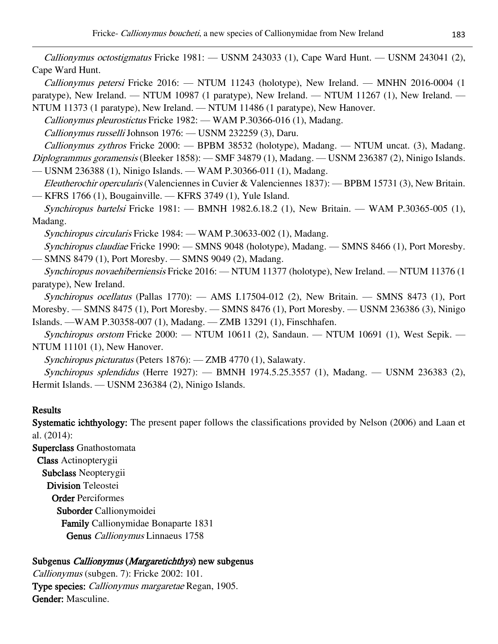*Callionymus octostigmatus* Fricke  $1981:$  — USNM 243033  $(1)$ , Cape Ward Hunt. — USNM 243041  $(2)$ , Cape Ward Hunt.

Callionymus petersi Fricke 2016: — NTUM 11243 (holotype), New Ireland. — MNHN 2016-0004 (1 paratype), New Ireland. — NTUM 10987 (1 paratype), New Ireland. — NTUM 11267 (1), New Ireland. — NTUM 11373 (1 paratype), New Ireland. — NTUM 11486 (1 paratype), New Hanover.

Callionymus pleurostictus Fricke 1982: — WAM P.30366-016 (1), Madang.

Callionymus russelli Johnson 1976: — USNM 232259 (3), Daru.

Callionymus zythros Fricke 2000: — BPBM 38532 (holotype), Madang. — NTUM uncat. (3), Madang. Diplogrammus goramensis (Bleeker 1858): — SMF 34879 (1), Madang. — USNM 236387 (2), Ninigo Islands. — USNM 236388 (1), Ninigo Islands. — WAM P.30366-011 (1), Madang.

Eleutherochir opercularis (Valenciennes in Cuvier & Valenciennes 1837): — BPBM 15731 (3), New Britain. — KFRS 1766 (1), Bougainville. — KFRS 3749 (1), Yule Island.

Synchiropus bartelsi Fricke 1981: — BMNH 1982.6.18.2 (1), New Britain. — WAM P.30365-005 (1), Madang.

Synchiropus circularis Fricke 1984: — WAM P.30633-002 (1), Madang.

Synchiropus claudiae Fricke 1990: — SMNS 9048 (holotype), Madang. — SMNS 8466 (1), Port Moresby. — SMNS 8479 (1), Port Moresby. — SMNS 9049 (2), Madang.

Synchiropus novaehiberniensis Fricke 2016: — NTUM 11377 (holotype), New Ireland. — NTUM 11376 (1 paratype), New Ireland.

Synchiropus ocellatus (Pallas 1770): — AMS I.17504-012 (2), New Britain. — SMNS 8473 (1), Port Moresby. — SMNS 8475 (1), Port Moresby. — SMNS 8476 (1), Port Moresby. — USNM 236386 (3), Ninigo Islands. —WAM P.30358-007 (1), Madang. — ZMB 13291 (1), Finschhafen.

Synchiropus orstom Fricke 2000: — NTUM 10611 (2), Sandaun. — NTUM 10691 (1), West Sepik. — NTUM 11101 (1), New Hanover.

Synchiropus picturatus (Peters 1876): — ZMB 4770 (1), Salawaty.

Synchiropus splendidus (Herre 1927): — BMNH 1974.5.25.3557 (1), Madang. — USNM 236383 (2), Hermit Islands. — USNM 236384 (2), Ninigo Islands.

## Results

Systematic ichthyology: The present paper follows the classifications provided by Nelson (2006) and Laan et al. (2014):

Superclass Gnathostomata Class Actinopterygii Subclass Neopterygii Division Teleostei Order Perciformes Suborder Callionymoidei Family Callionymidae Bonaparte 1831 Genus Callionymus Linnaeus 1758

# Subgenus Callionymus (Margaretichthys) new subgenus

Callionymus (subgen. 7): Fricke 2002: 101. Type species: Callionymus margaretae Regan, 1905. Gender: Masculine.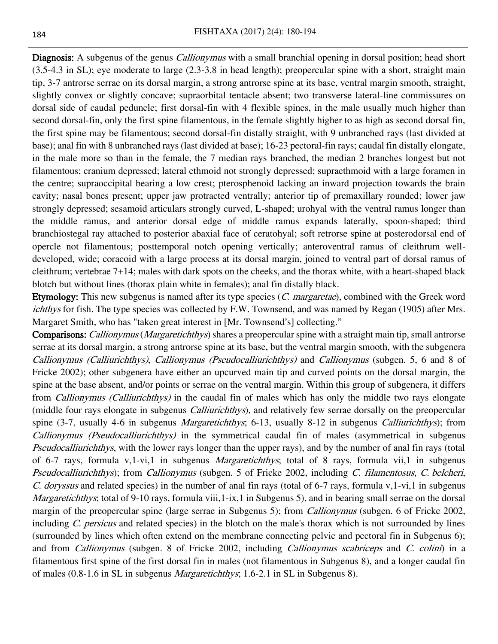Diagnosis: A subgenus of the genus *Callionymus* with a small branchial opening in dorsal position; head short (3.5-4.3 in SL); eye moderate to large (2.3-3.8 in head length); preopercular spine with a short, straight main tip, 3-7 antrorse serrae on its dorsal margin, a strong antrorse spine at its base, ventral margin smooth, straight, slightly convex or slightly concave; supraorbital tentacle absent; two transverse lateral-line commissures on dorsal side of caudal peduncle; first dorsal-fin with 4 flexible spines, in the male usually much higher than second dorsal-fin, only the first spine filamentous, in the female slightly higher to as high as second dorsal fin, the first spine may be filamentous; second dorsal-fin distally straight, with 9 unbranched rays (last divided at base); anal fin with 8 unbranched rays (last divided at base); 16-23 pectoral-fin rays; caudal fin distally elongate, in the male more so than in the female, the 7 median rays branched, the median 2 branches longest but not filamentous; cranium depressed; lateral ethmoid not strongly depressed; supraethmoid with a large foramen in the centre; supraoccipital bearing a low crest; pterosphenoid lacking an inward projection towards the brain cavity; nasal bones present; upper jaw protracted ventrally; anterior tip of premaxillary rounded; lower jaw strongly depressed; sesamoid articulars strongly curved, L-shaped; urohyal with the ventral ramus longer than the middle ramus, and anterior dorsal edge of middle ramus expands laterally, spoon-shaped; third branchiostegal ray attached to posterior abaxial face of ceratohyal; soft retrorse spine at posterodorsal end of opercle not filamentous; posttemporal notch opening vertically; anteroventral ramus of cleithrum welldeveloped, wide; coracoid with a large process at its dorsal margin, joined to ventral part of dorsal ramus of cleithrum; vertebrae 7+14; males with dark spots on the cheeks, and the thorax white, with a heart-shaped black blotch but without lines (thorax plain white in females); anal fin distally black.

Etymology: This new subgenus is named after its type species (C. margaretae), combined with the Greek word ichthys for fish. The type species was collected by F.W. Townsend, and was named by Regan (1905) after Mrs. Margaret Smith, who has "taken great interest in [Mr. Townsend's] collecting."

**Comparisons:** Callionymus (Margaretichthys) shares a preopercular spine with a straight main tip, small antrorse serrae at its dorsal margin, a strong antrorse spine at its base, but the ventral margin smooth, with the subgenera Callionymus (Calliurichthys), Callionymus (Pseudocalliurichthys) and Callionymus (subgen. 5, 6 and 8 of Fricke 2002); other subgenera have either an upcurved main tip and curved points on the dorsal margin, the spine at the base absent, and/or points or serrae on the ventral margin. Within this group of subgenera, it differs from Callionymus (Calliurichthys) in the caudal fin of males which has only the middle two rays elongate (middle four rays elongate in subgenus *Calliurichthys*), and relatively few serrae dorsally on the preopercular spine (3-7, usually 4-6 in subgenus *Margaretichthys*; 6-13, usually 8-12 in subgenus *Calliurichthys*); from Callionymus (Pseudocalliurichthys) in the symmetrical caudal fin of males (asymmetrical in subgenus Pseudocalliurichthys, with the lower rays longer than the upper rays), and by the number of anal fin rays (total of 6-7 rays, formula v,1-vi,1 in subgenus Margaretichthys; total of 8 rays, formula vii,1 in subgenus Pseudocalliurichthys); from Callionymus (subgen. 5 of Fricke 2002, including C. filamentosus, C. belcheri, C. doryssus and related species) in the number of anal fin rays (total of 6-7 rays, formula v,1-vi,1 in subgenus Margaretichthys; total of 9-10 rays, formula viii, 1-ix, 1 in Subgenus 5), and in bearing small serrae on the dorsal margin of the preopercular spine (large serrae in Subgenus 5); from *Callionymus* (subgen. 6 of Fricke 2002, including C. persicus and related species) in the blotch on the male's thorax which is not surrounded by lines (surrounded by lines which often extend on the membrane connecting pelvic and pectoral fin in Subgenus 6); and from *Callionymus* (subgen. 8 of Fricke 2002, including *Callionymus scabriceps* and *C. colini*) in a filamentous first spine of the first dorsal fin in males (not filamentous in Subgenus 8), and a longer caudal fin of males (0.8-1.6 in SL in subgenus Margaretichthys; 1.6-2.1 in SL in Subgenus 8).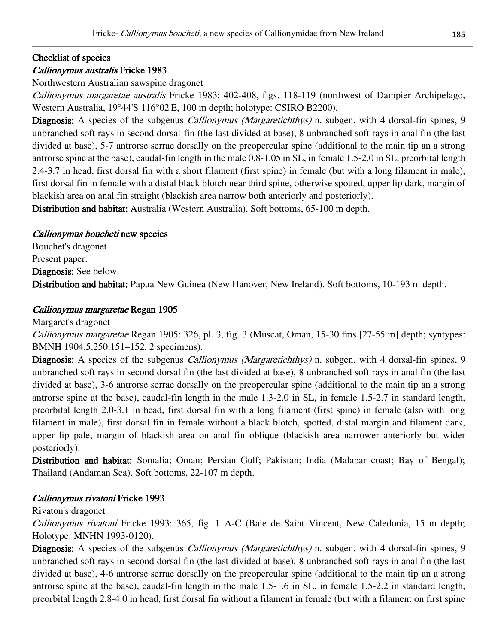# Checklist of species

# Callionymus australis Fricke 1983

Northwestern Australian sawspine dragonet

Callionymus margaretae australis Fricke 1983: 402-408, figs. 118-119 (northwest of Dampier Archipelago, Western Australia, 19°44'S 116°02'E, 100 m depth; holotype: CSIRO B2200).

Diagnosis: A species of the subgenus *Callionymus (Margaretichthys)* n. subgen. with 4 dorsal-fin spines, 9 unbranched soft rays in second dorsal-fin (the last divided at base), 8 unbranched soft rays in anal fin (the last divided at base), 5-7 antrorse serrae dorsally on the preopercular spine (additional to the main tip an a strong antrorse spine at the base), caudal-fin length in the male 0.8-1.05 in SL, in female 1.5-2.0 in SL, preorbital length 2.4-3.7 in head, first dorsal fin with a short filament (first spine) in female (but with a long filament in male), first dorsal fin in female with a distal black blotch near third spine, otherwise spotted, upper lip dark, margin of blackish area on anal fin straight (blackish area narrow both anteriorly and posteriorly).

Distribution and habitat: Australia (Western Australia). Soft bottoms, 65-100 m depth.

## Callionymus boucheti new species

Bouchet's dragonet Present paper. Diagnosis: See below. Distribution and habitat: Papua New Guinea (New Hanover, New Ireland). Soft bottoms, 10-193 m depth.

# Callionymus margaretae Regan 1905

Margaret's dragonet

Callionymus margaretae Regan 1905: 326, pl. 3, fig. 3 (Muscat, Oman, 15-30 fms [27-55 m] depth; syntypes: BMNH 1904.5.250.151–152, 2 specimens).

Diagnosis: A species of the subgenus *Callionymus (Margaretichthys)* n. subgen. with 4 dorsal-fin spines, 9 unbranched soft rays in second dorsal fin (the last divided at base), 8 unbranched soft rays in anal fin (the last divided at base), 3-6 antrorse serrae dorsally on the preopercular spine (additional to the main tip an a strong antrorse spine at the base), caudal-fin length in the male 1.3-2.0 in SL, in female 1.5-2.7 in standard length, preorbital length 2.0-3.1 in head, first dorsal fin with a long filament (first spine) in female (also with long filament in male), first dorsal fin in female without a black blotch, spotted, distal margin and filament dark, upper lip pale, margin of blackish area on anal fin oblique (blackish area narrower anteriorly but wider posteriorly).

Distribution and habitat: Somalia; Oman; Persian Gulf; Pakistan; India (Malabar coast; Bay of Bengal); Thailand (Andaman Sea). Soft bottoms, 22-107 m depth.

# Callionymus rivatoni Fricke 1993

## Rivaton's dragonet

Callionymus rivatoni Fricke 1993: 365, fig. 1 A-C (Baie de Saint Vincent, New Caledonia, 15 m depth; Holotype: MNHN 1993-0120).

Diagnosis: A species of the subgenus *Callionymus (Margaretichthys)* n. subgen. with 4 dorsal-fin spines, 9 unbranched soft rays in second dorsal fin (the last divided at base), 8 unbranched soft rays in anal fin (the last divided at base), 4-6 antrorse serrae dorsally on the preopercular spine (additional to the main tip an a strong antrorse spine at the base), caudal-fin length in the male 1.5-1.6 in SL, in female 1.5-2.2 in standard length, preorbital length 2.8-4.0 in head, first dorsal fin without a filament in female (but with a filament on first spine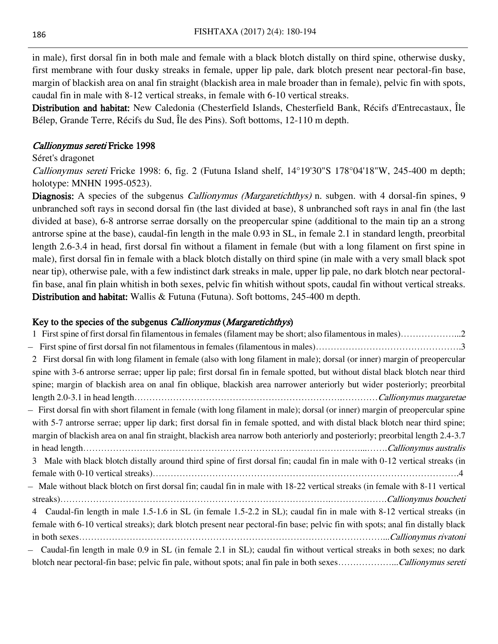in male), first dorsal fin in both male and female with a black blotch distally on third spine, otherwise dusky, first membrane with four dusky streaks in female, upper lip pale, dark blotch present near pectoral-fin base, margin of blackish area on anal fin straight (blackish area in male broader than in female), pelvic fin with spots, caudal fin in male with 8-12 vertical streaks, in female with 6-10 vertical streaks.

Distribution and habitat: New Caledonia (Chesterfield Islands, Chesterfield Bank, Récifs d'Entrecastaux, Île Bélep, Grande Terre, Récifs du Sud, Île des Pins). Soft bottoms, 12-110 m depth.

### Callionymus sereti Fricke 1998

#### Séret's dragonet

*Callionymus sereti* Fricke 1998: 6, fig. 2 (Futuna Island shelf,  $14^{\circ}19'30''S$  178°04'18"W, 245-400 m depth; holotype: MNHN 1995-0523).

Diagnosis: A species of the subgenus *Callionymus (Margaretichthys)* n. subgen. with 4 dorsal-fin spines, 9 unbranched soft rays in second dorsal fin (the last divided at base), 8 unbranched soft rays in anal fin (the last divided at base), 6-8 antrorse serrae dorsally on the preopercular spine (additional to the main tip an a strong antrorse spine at the base), caudal-fin length in the male 0.93 in SL, in female 2.1 in standard length, preorbital length 2.6-3.4 in head, first dorsal fin without a filament in female (but with a long filament on first spine in male), first dorsal fin in female with a black blotch distally on third spine (in male with a very small black spot near tip), otherwise pale, with a few indistinct dark streaks in male, upper lip pale, no dark blotch near pectoralfin base, anal fin plain whitish in both sexes, pelvic fin whitish without spots, caudal fin without vertical streaks. Distribution and habitat: Wallis & Futuna (Futuna). Soft bottoms, 245-400 m depth.

### Key to the species of the subgenus *Callionymus* (*Margaretichthys*)

| 1 First spine of first dorsal fin filamentous in females (filament may be short; also filamentous in males)2                   |
|--------------------------------------------------------------------------------------------------------------------------------|
|                                                                                                                                |
| 2 First dorsal fin with long filament in female (also with long filament in male); dorsal (or inner) margin of preopercular    |
| spine with 3-6 antrorse serrae; upper lip pale; first dorsal fin in female spotted, but without distal black blotch near third |
| spine; margin of blackish area on anal fin oblique, blackish area narrower anteriorly but wider posteriorly; preorbital        |
|                                                                                                                                |
| - First dorsal fin with short filament in female (with long filament in male); dorsal (or inner) margin of preopercular spine  |
| with 5-7 antrorse serrae; upper lip dark; first dorsal fin in female spotted, and with distal black blotch near third spine;   |
| margin of blackish area on anal fin straight, blackish area narrow both anteriorly and posteriorly; preorbital length 2.4-3.7  |
|                                                                                                                                |
| Male with black blotch distally around third spine of first dorsal fin; caudal fin in male with 0-12 vertical streaks (in<br>3 |
|                                                                                                                                |
| - Male without black blotch on first dorsal fin; caudal fin in male with 18-22 vertical streaks (in female with 8-11 vertical  |
|                                                                                                                                |
| Caudal-fin length in male 1.5-1.6 in SL (in female 1.5-2.2 in SL); caudal fin in male with 8-12 vertical streaks (in<br>4      |
| female with 6-10 vertical streaks); dark blotch present near pectoral-fin base; pelvic fin with spots; anal fin distally black |
|                                                                                                                                |
| Caudal-fin length in male 0.9 in SL (in female 2.1 in SL); caudal fin without vertical streaks in both sexes; no dark          |
| blotch near pectoral-fin base; pelvic fin pale, without spots; anal fin pale in both sexesCallionymus sereti                   |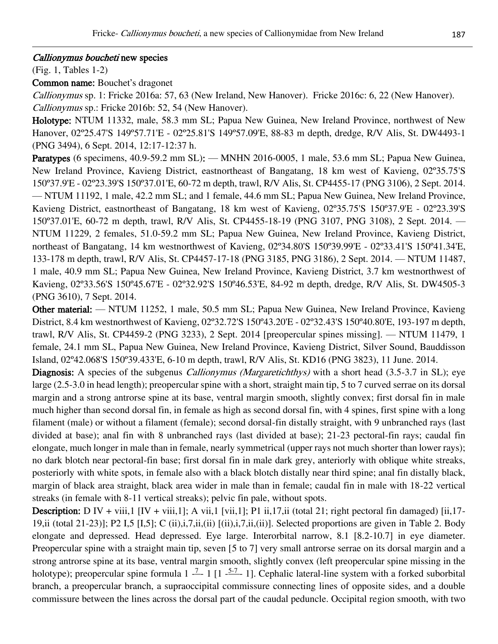#### Callionymus boucheti new species

(Fig. 1, Tables 1-2)

Common name: Bouchet's dragonet

Callionymus sp. 1: Fricke 2016a: 57, 63 (New Ireland, New Hanover). Fricke 2016c: 6, 22 (New Hanover). Callionymus sp.: Fricke 2016b: 52, 54 (New Hanover).

Holotype: NTUM 11332, male, 58.3 mm SL; Papua New Guinea, New Ireland Province, northwest of New Hanover, 02º25.47'S 149º57.71'E - 02º25.81'S 149º57.09'E, 88-83 m depth, dredge, R/V Alis, St. DW4493-1 (PNG 3494), 6 Sept. 2014, 12:17-12:37 h.

Paratypes (6 specimens, 40.9-59.2 mm SL): — MNHN 2016-0005, 1 male, 53.6 mm SL; Papua New Guinea, New Ireland Province, Kavieng District, eastnortheast of Bangatang, 18 km west of Kavieng, 02º35.75'S 150º37.9'E - 02º23.39'S 150º37.01'E, 60-72 m depth, trawl, R/V Alis, St. CP4455-17 (PNG 3106), 2 Sept. 2014. — NTUM 11192, 1 male, 42.2 mm SL; and 1 female, 44.6 mm SL; Papua New Guinea, New Ireland Province, Kavieng District, eastnortheast of Bangatang, 18 km west of Kavieng, 02º35.75'S 150º37.9'E - 02º23.39'S 150º37.01'E, 60-72 m depth, trawl, R/V Alis, St. CP4455-18-19 (PNG 3107, PNG 3108), 2 Sept. 2014. — NTUM 11229, 2 females, 51.0-59.2 mm SL; Papua New Guinea, New Ireland Province, Kavieng District, northeast of Bangatang, 14 km westnorthwest of Kavieng, 02º34.80'S 150º39.99'E - 02º33.41'S 150º41.34'E, 133-178 m depth, trawl, R/V Alis, St. CP4457-17-18 (PNG 3185, PNG 3186), 2 Sept. 2014. — NTUM 11487, 1 male, 40.9 mm SL; Papua New Guinea, New Ireland Province, Kavieng District, 3.7 km westnorthwest of Kavieng, 02º33.56'S 150º45.67'E - 02º32.92'S 150º46.53'E, 84-92 m depth, dredge, R/V Alis, St. DW4505-3 (PNG 3610), 7 Sept. 2014.

Other material: — NTUM 11252, 1 male, 50.5 mm SL; Papua New Guinea, New Ireland Province, Kavieng District, 8.4 km westnorthwest of Kavieng, 02º32.72'S 150º43.20'E - 02º32.43'S 150º40.80'E, 193-197 m depth, trawl, R/V Alis, St. CP4459-2 (PNG 3233), 2 Sept. 2014 [preopercular spines missing]. — NTUM 11479, 1 female, 24.1 mm SL, Papua New Guinea, New Ireland Province, Kavieng District, Silver Sound, Bauddisson Island, 02º42.068'S 150º39.433'E, 6-10 m depth, trawl, R/V Alis, St. KD16 (PNG 3823), 11 June. 2014.

Diagnosis: A species of the subgenus *Callionymus (Margaretichthys)* with a short head (3.5-3.7 in SL); eye large (2.5-3.0 in head length); preopercular spine with a short, straight main tip, 5 to 7 curved serrae on its dorsal margin and a strong antrorse spine at its base, ventral margin smooth, slightly convex; first dorsal fin in male much higher than second dorsal fin, in female as high as second dorsal fin, with 4 spines, first spine with a long filament (male) or without a filament (female); second dorsal-fin distally straight, with 9 unbranched rays (last divided at base); anal fin with 8 unbranched rays (last divided at base); 21-23 pectoral-fin rays; caudal fin elongate, much longer in male than in female, nearly symmetrical (upper rays not much shorter than lower rays); no dark blotch near pectoral-fin base; first dorsal fin in male dark grey, anteriorly with oblique white streaks, posteriorly with white spots, in female also with a black blotch distally near third spine; anal fin distally black, margin of black area straight, black area wider in male than in female; caudal fin in male with 18-22 vertical streaks (in female with 8-11 vertical streaks); pelvic fin pale, without spots.

**Description:** D IV + viii,1 [IV + viii,1]; A vii,1 [vii,1]; P1 ii,17,ii (total 21; right pectoral fin damaged) [ii,17-19,ii (total 21-23)]; P2 I,5 [I,5]; C (ii),i,7,ii,(ii) [(ii),i,7,ii,(ii)]. Selected proportions are given in Table 2. Body elongate and depressed. Head depressed. Eye large. Interorbital narrow, 8.1 [8.2-10.7] in eye diameter. Preopercular spine with a straight main tip, seven [5 to 7] very small antrorse serrae on its dorsal margin and a strong antrorse spine at its base, ventral margin smooth, slightly convex (left preopercular spine missing in the holotype); preopercular spine formula  $1 - \frac{7}{2} - 1$  [1  $- \frac{5-7}{2} - 1$ ]. Cephalic lateral-line system with a forked suborbital branch, a preopercular branch, a supraoccipital commissure connecting lines of opposite sides, and a double commissure between the lines across the dorsal part of the caudal peduncle. Occipital region smooth, with two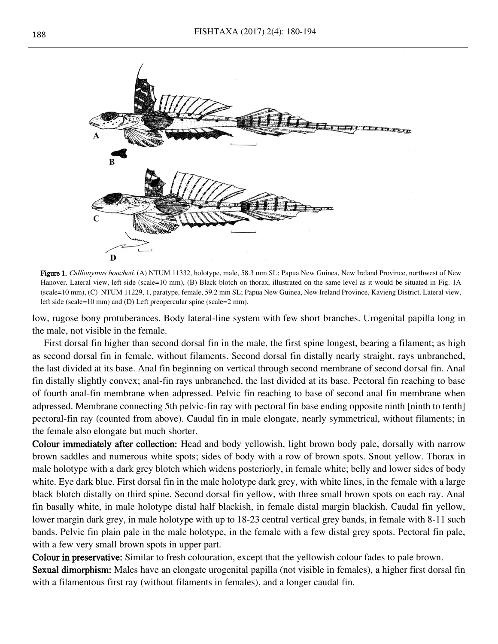

Figure 1. Callionymus boucheti. (A) NTUM 11332, holotype, male, 58.3 mm SL; Papua New Guinea, New Ireland Province, northwest of New Hanover. Lateral view, left side (scale=10 mm), (B) Black blotch on thorax, illustrated on the same level as it would be situated in Fig. 1A (scale=10 mm), (C) NTUM 11229, 1, paratype, female, 59.2 mm SL; Papua New Guinea, New Ireland Province, Kavieng District. Lateral view, left side (scale=10 mm) and (D) Left preopercular spine (scale=2 mm).

low, rugose bony protuberances. Body lateral-line system with few short branches. Urogenital papilla long in the male, not visible in the female.

First dorsal fin higher than second dorsal fin in the male, the first spine longest, bearing a filament; as high as second dorsal fin in female, without filaments. Second dorsal fin distally nearly straight, rays unbranched, the last divided at its base. Anal fin beginning on vertical through second membrane of second dorsal fin. Anal fin distally slightly convex; anal-fin rays unbranched, the last divided at its base. Pectoral fin reaching to base of fourth anal-fin membrane when adpressed. Pelvic fin reaching to base of second anal fin membrane when adpressed. Membrane connecting 5th pelvic-fin ray with pectoral fin base ending opposite ninth [ninth to tenth] pectoral-fin ray (counted from above). Caudal fin in male elongate, nearly symmetrical, without filaments; in the female also elongate but much shorter.

Colour immediately after collection: Head and body yellowish, light brown body pale, dorsally with narrow brown saddles and numerous white spots; sides of body with a row of brown spots. Snout yellow. Thorax in male holotype with a dark grey blotch which widens posteriorly, in female white; belly and lower sides of body white. Eye dark blue. First dorsal fin in the male holotype dark grey, with white lines, in the female with a large black blotch distally on third spine. Second dorsal fin yellow, with three small brown spots on each ray. Anal fin basally white, in male holotype distal half blackish, in female distal margin blackish. Caudal fin yellow, lower margin dark grey, in male holotype with up to 18-23 central vertical grey bands, in female with 8-11 such bands. Pelvic fin plain pale in the male holotype, in the female with a few distal grey spots. Pectoral fin pale, with a few very small brown spots in upper part.

Colour in preservative: Similar to fresh colouration, except that the yellowish colour fades to pale brown.

Sexual dimorphism: Males have an elongate urogenital papilla (not visible in females), a higher first dorsal fin with a filamentous first ray (without filaments in females), and a longer caudal fin.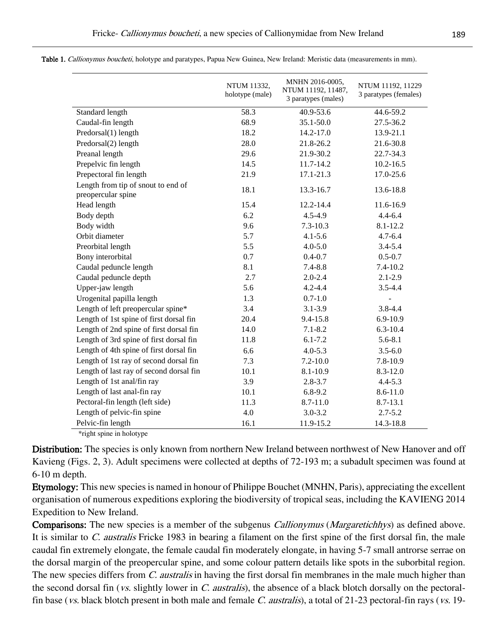|                                                          | NTUM 11332,<br>holotype (male) | MNHN 2016-0005,<br>NTUM 11192, 11487,<br>3 paratypes (males) | NTUM 11192, 11229<br>3 paratypes (females) |
|----------------------------------------------------------|--------------------------------|--------------------------------------------------------------|--------------------------------------------|
| Standard length                                          | 58.3                           | 40.9-53.6                                                    | 44.6-59.2                                  |
| Caudal-fin length                                        | 68.9                           | 35.1-50.0                                                    | 27.5-36.2                                  |
| Predorsal(1) length                                      | 18.2                           | 14.2-17.0                                                    | 13.9-21.1                                  |
| Predorsal(2) length                                      | 28.0                           | 21.8-26.2                                                    | 21.6-30.8                                  |
| Preanal length                                           | 29.6                           | 21.9-30.2                                                    | 22.7-34.3                                  |
| Prepelvic fin length                                     | 14.5                           | 11.7-14.2                                                    | $10.2 - 16.5$                              |
| Prepectoral fin length                                   | 21.9                           | 17.1-21.3                                                    | 17.0-25.6                                  |
| Length from tip of snout to end of<br>preopercular spine | 18.1                           | 13.3-16.7                                                    | 13.6-18.8                                  |
| Head length                                              | 15.4                           | 12.2-14.4                                                    | 11.6-16.9                                  |
| Body depth                                               | 6.2                            | $4.5 - 4.9$                                                  | $4.4 - 6.4$                                |
| Body width                                               | 9.6                            | $7.3 - 10.3$                                                 | $8.1 - 12.2$                               |
| Orbit diameter                                           | 5.7                            | $4.1 - 5.6$                                                  | $4.7 - 6.4$                                |
| Preorbital length                                        | 5.5                            | $4.0 - 5.0$                                                  | $3.4 - 5.4$                                |
| Bony interorbital                                        | 0.7                            | $0.4 - 0.7$                                                  | $0.5 - 0.7$                                |
| Caudal peduncle length                                   | 8.1                            | $7.4 - 8.8$                                                  | 7.4-10.2                                   |
| Caudal peduncle depth                                    | 2.7                            | $2.0 - 2.4$                                                  | $2.1 - 2.9$                                |
| Upper-jaw length                                         | 5.6                            | $4.2 - 4.4$                                                  | $3.5 - 4.4$                                |
| Urogenital papilla length                                | 1.3                            | $0.7 - 1.0$                                                  |                                            |
| Length of left preopercular spine*                       | 3.4                            | $3.1 - 3.9$                                                  | $3.8 - 4.4$                                |
| Length of 1st spine of first dorsal fin                  | 20.4                           | 9.4-15.8                                                     | $6.9 - 10.9$                               |
| Length of 2nd spine of first dorsal fin                  | 14.0                           | $7.1 - 8.2$                                                  | $6.3 - 10.4$                               |
| Length of 3rd spine of first dorsal fin                  | 11.8                           | $6.1 - 7.2$                                                  | $5.6 - 8.1$                                |
| Length of 4th spine of first dorsal fin                  | 6.6                            | $4.0 - 5.3$                                                  | $3.5 - 6.0$                                |
| Length of 1st ray of second dorsal fin                   | 7.3                            | $7.2 - 10.0$                                                 | $7.8 - 10.9$                               |
| Length of last ray of second dorsal fin                  | 10.1                           | 8.1-10.9                                                     | $8.3 - 12.0$                               |
| Length of 1st anal/fin ray                               | 3.9                            | $2.8 - 3.7$                                                  | $4.4 - 5.3$                                |
| Length of last anal-fin ray                              | 10.1                           | $6.8 - 9.2$                                                  | 8.6-11.0                                   |
| Pectoral-fin length (left side)                          | 11.3                           | 8.7-11.0                                                     | $8.7 - 13.1$                               |
| Length of pelvic-fin spine                               | 4.0                            | $3.0 - 3.2$                                                  | $2.7 - 5.2$                                |
| Pelvic-fin length                                        | 16.1                           | 11.9-15.2                                                    | 14.3-18.8                                  |

Table 1. Callionymus boucheti, holotype and paratypes, Papua New Guinea, New Ireland: Meristic data (measurements in mm).

\*right spine in holotype

Distribution: The species is only known from northern New Ireland between northwest of New Hanover and off Kavieng (Figs. 2, 3). Adult specimens were collected at depths of 72-193 m; a subadult specimen was found at 6-10 m depth.

Etymology: This new species is named in honour of Philippe Bouchet (MNHN, Paris), appreciating the excellent organisation of numerous expeditions exploring the biodiversity of tropical seas, including the KAVIENG 2014 Expedition to New Ireland.

**Comparisons:** The new species is a member of the subgenus *Callionymus (Margaretichhys)* as defined above. It is similar to C. australis Fricke 1983 in bearing a filament on the first spine of the first dorsal fin, the male caudal fin extremely elongate, the female caudal fin moderately elongate, in having 5-7 small antrorse serrae on the dorsal margin of the preopercular spine, and some colour pattern details like spots in the suborbital region. The new species differs from C. *australis* in having the first dorsal fin membranes in the male much higher than the second dorsal fin (*vs.* slightly lower in *C. australis*), the absence of a black blotch dorsally on the pectoralfin base (*vs.* black blotch present in both male and female C. *australis*), a total of 21-23 pectoral-fin rays (*vs.* 19-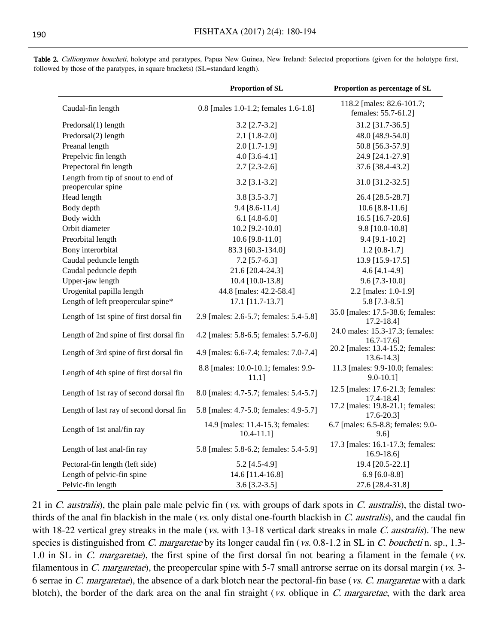|                                                          | Proportion of SL                                    | Proportion as percentage of SL                      |
|----------------------------------------------------------|-----------------------------------------------------|-----------------------------------------------------|
| Caudal-fin length                                        | 0.8 [males 1.0-1.2; females 1.6-1.8]                | 118.2 [males: 82.6-101.7;<br>females: 55.7-61.2]    |
| Predorsal(1) length                                      | $3.2$ [2.7-3.2]                                     | 31.2 [31.7-36.5]                                    |
| Predorsal(2) length                                      | $2.1$ [1.8-2.0]                                     | 48.0 [48.9-54.0]                                    |
| Preanal length                                           | $2.0$ [1.7-1.9]                                     | 50.8 [56.3-57.9]                                    |
| Prepelvic fin length                                     | 4.0 $[3.6-4.1]$                                     | 24.9 [24.1-27.9]                                    |
| Prepectoral fin length                                   | $2.7$ [2.3-2.6]                                     | 37.6 [38.4-43.2]                                    |
| Length from tip of snout to end of<br>preopercular spine | $3.2$ [ $3.1 - 3.2$ ]                               | 31.0 [31.2-32.5]                                    |
| Head length                                              | $3.8$ [ $3.5 - 3.7$ ]                               | 26.4 [28.5-28.7]                                    |
| Body depth                                               | $9.4 [8.6 - 11.4]$                                  | $10.6$ [8.8-11.6]                                   |
| Body width                                               | 6.1 $[4.8 - 6.0]$                                   | 16.5 [16.7-20.6]                                    |
| Orbit diameter                                           | 10.2 [9.2-10.0]                                     | 9.8 [10.0-10.8]                                     |
| Preorbital length                                        | 10.6 $[9.8 - 11.0]$                                 | $9.4$ [9.1-10.2]                                    |
| Bony interorbital                                        | 83.3 [60.3-134.0]                                   | $1.2$ [0.8-1.7]                                     |
| Caudal peduncle length                                   | $7.2$ [5.7-6.3]                                     | 13.9 [15.9-17.5]                                    |
| Caudal peduncle depth                                    | 21.6 [20.4-24.3]                                    | 4.6 $[4.1-4.9]$                                     |
| Upper-jaw length                                         | 10.4 [10.0-13.8]                                    | $9.6$ [7.3-10.0]                                    |
| Urogenital papilla length                                | 44.8 [males: 42.2-58.4]                             | 2.2 [males: 1.0-1.9]                                |
| Length of left preopercular spine*                       | 17.1 [11.7-13.7]                                    | $5.8$ [7.3-8.5]                                     |
| Length of 1st spine of first dorsal fin                  | 2.9 [males: 2.6-5.7; females: 5.4-5.8]              | 35.0 [males: 17.5-38.6; females:<br>$17.2 - 18.4$ ] |
| Length of 2nd spine of first dorsal fin                  | 4.2 [males: 5.8-6.5; females: 5.7-6.0]              | 24.0 males: 15.3-17.3; females:<br>$16.7 - 17.6$    |
| Length of 3rd spine of first dorsal fin                  | 4.9 [males: 6.6-7.4; females: 7.0-7.4]              | 20.2 [males: 13.4-15.2; females:<br>13.6-14.3]      |
| Length of 4th spine of first dorsal fin                  | 8.8 [males: 10.0-10.1; females: 9.9-<br>$11.1$ ]    | 11.3 [males: 9.9-10.0; females:<br>$9.0 - 10.1$ ]   |
| Length of 1st ray of second dorsal fin                   | 8.0 [males: 4.7-5.7; females: 5.4-5.7]              | 12.5 [males: 17.6-21.3; females:<br>$17.4 - 18.4$ ] |
| Length of last ray of second dorsal fin                  | 5.8 [males: 4.7-5.0; females: 4.9-5.7]              | 17.2 [males: 19.8-21.1; females:<br>$17.6 - 20.3$   |
| Length of 1st anal/fin ray                               | 14.9 [males: 11.4-15.3; females:<br>$10.4 - 11.1$ ] | 6.7 [males: 6.5-8.8; females: 9.0-<br>$9.6$ ]       |
| Length of last anal-fin ray                              | 5.8 [males: 5.8-6.2; females: 5.4-5.9]              | 17.3 [males: 16.1-17.3; females:<br>$16.9 - 18.6$   |
| Pectoral-fin length (left side)                          | 5.2 [4.5-4.9]                                       | 19.4 [20.5-22.1]                                    |
| Length of pelvic-fin spine                               | 14.6 [11.4-16.8]                                    | 6.9 [6.0-8.8]                                       |
| Pelvic-fin length                                        | $3.6$ [3.2-3.5]                                     | 27.6 [28.4-31.8]                                    |

Table 2. Callionymus boucheti, holotype and paratypes, Papua New Guinea, New Ireland: Selected proportions (given for the holotype first, followed by those of the paratypes, in square brackets) (SL=standard length).

21 in C. australis), the plain pale male pelvic fin (vs. with groups of dark spots in C. australis), the distal twothirds of the anal fin blackish in the male (*vs.* only distal one-fourth blackish in  $C$ . *australis*), and the caudal fin with 18-22 vertical grey streaks in the male (vs. with 13-18 vertical dark streaks in male C. australis). The new species is distinguished from C. margaretae by its longer caudal fin (vs. 0.8-1.2 in SL in C. boucheti n. sp., 1.3-1.0 in SL in C. margaretae), the first spine of the first dorsal fin not bearing a filament in the female (vs. filamentous in C. margaretae), the preopercular spine with  $5-7$  small antrorse serrae on its dorsal margin ( $vs.$  3-6 serrae in C. margaretae), the absence of a dark blotch near the pectoral-fin base (vs. C. margaretae with a dark blotch), the border of the dark area on the anal fin straight (vs. oblique in C. margaretae, with the dark area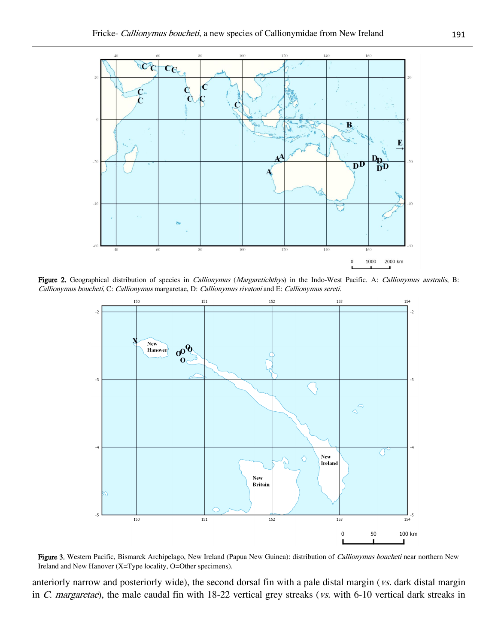

Figure 2. Geographical distribution of species in *Callionymus (Margaretichthys)* in the Indo-West Pacific. A: *Callionymus australis*, B: Callionymus boucheti, C: Callionymus margaretae, D: Callionymus rivatoni and E: Callionymus sereti.



Figure 3. Western Pacific, Bismarck Archipelago, New Ireland (Papua New Guinea): distribution of Callionymus boucheti near northern New Ireland and New Hanover (X=Type locality, O=Other specimens).

anteriorly narrow and posteriorly wide), the second dorsal fin with a pale distal margin (vs. dark distal margin in C. margaretae), the male caudal fin with 18-22 vertical grey streaks (vs. with 6-10 vertical dark streaks in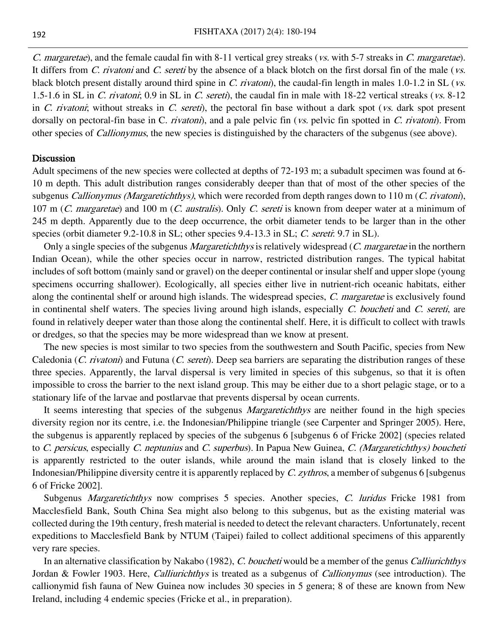C. margaretae), and the female caudal fin with 8-11 vertical grey streaks (vs. with 5-7 streaks in C. margaretae). It differs from *C. rivatoni* and *C. sereti* by the absence of a black blotch on the first dorsal fin of the male (*vs.*) black blotch present distally around third spine in C. rivatoni), the caudal-fin length in males 1.0-1.2 in SL (vs. 1.5-1.6 in SL in C. rivatoni; 0.9 in SL in C. sereti), the caudal fin in male with 18-22 vertical streaks (vs. 8-12 in C. rivatoni; without streaks in C. sereti), the pectoral fin base without a dark spot (vs. dark spot present dorsally on pectoral-fin base in C. rivatoni), and a pale pelvic fin (vs. pelvic fin spotted in C. rivatoni). From other species of Callionymus, the new species is distinguished by the characters of the subgenus (see above).

#### **Discussion**

Adult specimens of the new species were collected at depths of 72-193 m; a subadult specimen was found at 6- 10 m depth. This adult distribution ranges considerably deeper than that of most of the other species of the subgenus Callionymus (Margaretichthys), which were recorded from depth ranges down to 110 m (C. rivatoni), 107 m (C. margaretae) and 100 m (C. australis). Only C. sereti is known from deeper water at a minimum of 245 m depth. Apparently due to the deep occurrence, the orbit diameter tends to be larger than in the other species (orbit diameter 9.2-10.8 in SL; other species 9.4-13.3 in SL; C. sereti: 9.7 in SL).

Only a single species of the subgenus *Margaretichthys* is relatively widespread (C. margaretae in the northern Indian Ocean), while the other species occur in narrow, restricted distribution ranges. The typical habitat includes of soft bottom (mainly sand or gravel) on the deeper continental or insular shelf and upper slope (young specimens occurring shallower). Ecologically, all species either live in nutrient-rich oceanic habitats, either along the continental shelf or around high islands. The widespread species, C. margaretae is exclusively found in continental shelf waters. The species living around high islands, especially C. boucheti and C. sereti, are found in relatively deeper water than those along the continental shelf. Here, it is difficult to collect with trawls or dredges, so that the species may be more widespread than we know at present.

The new species is most similar to two species from the southwestern and South Pacific, species from New Caledonia (C. rivatoni) and Futuna (C. sereti). Deep sea barriers are separating the distribution ranges of these three species. Apparently, the larval dispersal is very limited in species of this subgenus, so that it is often impossible to cross the barrier to the next island group. This may be either due to a short pelagic stage, or to a stationary life of the larvae and postlarvae that prevents dispersal by ocean currents.

It seems interesting that species of the subgenus *Margaretichthys* are neither found in the high species diversity region nor its centre, i.e. the Indonesian/Philippine triangle (see Carpenter and Springer 2005). Here, the subgenus is apparently replaced by species of the subgenus 6 [subgenus 6 of Fricke 2002] (species related to C. persicus, especially C. neptunius and C. superbus). In Papua New Guinea, C. (Margaretichthys) boucheti is apparently restricted to the outer islands, while around the main island that is closely linked to the Indonesian/Philippine diversity centre it is apparently replaced by C. zythros, a member of subgenus 6 [subgenus 6 of Fricke 2002].

Subgenus *Margaretichthys* now comprises 5 species. Another species, C. luridus Fricke 1981 from Macclesfield Bank, South China Sea might also belong to this subgenus, but as the existing material was collected during the 19th century, fresh material is needed to detect the relevant characters. Unfortunately, recent expeditions to Macclesfield Bank by NTUM (Taipei) failed to collect additional specimens of this apparently very rare species.

In an alternative classification by Nakabo (1982), C. boucheti would be a member of the genus Calliurichthys Jordan & Fowler 1903. Here, *Calliurichthys* is treated as a subgenus of *Callionymus* (see introduction). The callionymid fish fauna of New Guinea now includes 30 species in 5 genera; 8 of these are known from New Ireland, including 4 endemic species (Fricke et al., in preparation).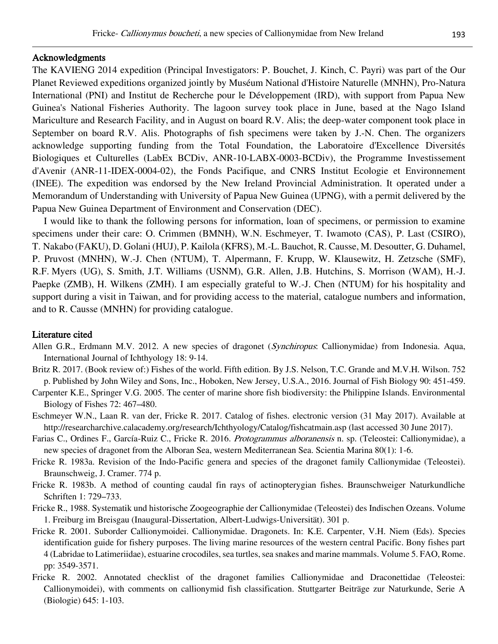#### Acknowledgments

The KAVIENG 2014 expedition (Principal Investigators: P. Bouchet, J. Kinch, C. Payri) was part of the Our Planet Reviewed expeditions organized jointly by Muséum National d'Histoire Naturelle (MNHN), Pro-Natura International (PNI) and Institut de Recherche pour le Développement (IRD), with support from Papua New Guinea's National Fisheries Authority. The lagoon survey took place in June, based at the Nago Island Mariculture and Research Facility, and in August on board R.V. Alis; the deep-water component took place in September on board R.V. Alis. Photographs of fish specimens were taken by J.-N. Chen. The organizers acknowledge supporting funding from the Total Foundation, the Laboratoire d'Excellence Diversités Biologiques et Culturelles (LabEx BCDiv, ANR-10-LABX-0003-BCDiv), the Programme Investissement d'Avenir (ANR-11-IDEX-0004-02), the Fonds Pacifique, and CNRS Institut Ecologie et Environnement (INEE). The expedition was endorsed by the New Ireland Provincial Administration. It operated under a Memorandum of Understanding with University of Papua New Guinea (UPNG), with a permit delivered by the Papua New Guinea Department of Environment and Conservation (DEC).

I would like to thank the following persons for information, loan of specimens, or permission to examine specimens under their care: O. Crimmen (BMNH), W.N. Eschmeyer, T. Iwamoto (CAS), P. Last (CSIRO), T. Nakabo (FAKU), D. Golani (HUJ), P. Kailola (KFRS), M.-L. Bauchot, R. Causse, M. Desoutter, G. Duhamel, P. Pruvost (MNHN), W.-J. Chen (NTUM), T. Alpermann, F. Krupp, W. Klausewitz, H. Zetzsche (SMF), R.F. Myers (UG), S. Smith, J.T. Williams (USNM), G.R. Allen, J.B. Hutchins, S. Morrison (WAM), H.-J. Paepke (ZMB), H. Wilkens (ZMH). I am especially grateful to W.-J. Chen (NTUM) for his hospitality and support during a visit in Taiwan, and for providing access to the material, catalogue numbers and information, and to R. Causse (MNHN) for providing catalogue.

#### Literature cited

- Allen G.R., Erdmann M.V. 2012. A new species of dragonet (Synchiropus: Callionymidae) from Indonesia. Aqua, International Journal of Ichthyology 18: 9-14.
- Britz R. 2017. (Book review of:) Fishes of the world. Fifth edition. By J.S. Nelson, T.C. Grande and M.V.H. Wilson. 752 p. Published by John Wiley and Sons, Inc., Hoboken, New Jersey, U.S.A., 2016. Journal of Fish Biology 90: 451-459.
- Carpenter K.E., Springer V.G. 2005. The center of marine shore fish biodiversity: the Philippine Islands. Environmental Biology of Fishes 72: 467–480.
- Eschmeyer W.N., Laan R. van der, Fricke R. 2017. Catalog of fishes. electronic version (31 May 2017). Available at http://researcharchive.calacademy.org/research/Ichthyology/Catalog/fishcatmain.asp (last accessed 30 June 2017).
- Farias C., Ordines F., García-Ruiz C., Fricke R. 2016. Protogrammus alboranensis n. sp. (Teleostei: Callionymidae), a new species of dragonet from the Alboran Sea, western Mediterranean Sea. Scientia Marina 80(1): 1-6.
- Fricke R. 1983a. Revision of the Indo-Pacific genera and species of the dragonet family Callionymidae (Teleostei). Braunschweig, J. Cramer. 774 p.
- Fricke R. 1983b. A method of counting caudal fin rays of actinopterygian fishes. Braunschweiger Naturkundliche Schriften 1: 729–733.
- Fricke R., 1988. Systematik und historische Zoogeographie der Callionymidae (Teleostei) des Indischen Ozeans. Volume 1. Freiburg im Breisgau (Inaugural-Dissertation, Albert-Ludwigs-Universität). 301 p.
- Fricke R. 2001. Suborder Callionymoidei. Callionymidae. Dragonets. In: K.E. Carpenter, V.H. Niem (Eds). Species identification guide for fishery purposes. The living marine resources of the western central Pacific. Bony fishes part 4 (Labridae to Latimeriidae), estuarine crocodiles, sea turtles, sea snakes and marine mammals. Volume 5. FAO, Rome. pp: 3549-3571.
- Fricke R. 2002. Annotated checklist of the dragonet families Callionymidae and Draconettidae (Teleostei: Callionymoidei), with comments on callionymid fish classification. Stuttgarter Beiträge zur Naturkunde, Serie A (Biologie) 645: 1-103.